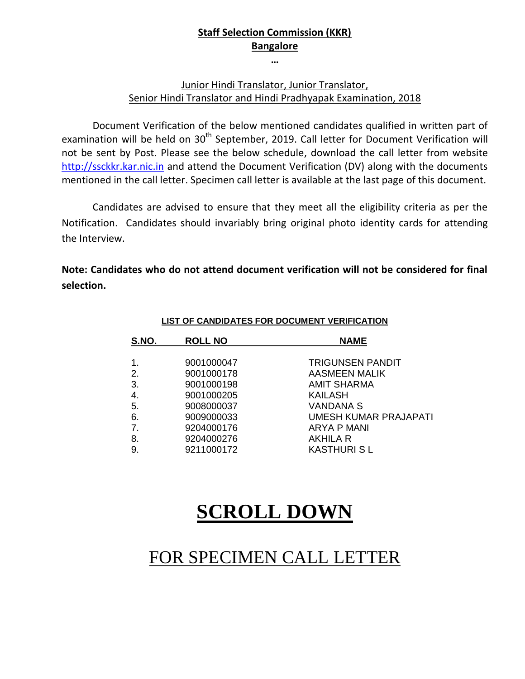## **Staff Selection Commission (KKR) Bangalore**

**…**

### Junior Hindi Translator, Junior Translator, Senior Hindi Translator and Hindi Pradhyapak Examination, 2018

Document Verification of the below mentioned candidates qualified in written part of examination will be held on 30<sup>th</sup> September, 2019. Call letter for Document Verification will not be sent by Post. Please see the below schedule, download the call letter from website http://ssckkr.kar.nic.in and attend the Document Verification (DV) along with the documents mentioned in the call letter. Specimen call letter is available at the last page of this document.

Candidates are advised to ensure that they meet all the eligibility criteria as per the Notification. Candidates should invariably bring original photo identity cards for attending the Interview.

**Note: Candidates who do not attend document verification will not be considered for final selection.**

| S.NO.         | <b>ROLL NO</b> | <b>NAME</b>             |  |
|---------------|----------------|-------------------------|--|
| $\mathbf 1$ . | 9001000047     | <b>TRIGUNSEN PANDIT</b> |  |
| 2.            | 9001000178     | <b>AASMEEN MALIK</b>    |  |
| 3.            | 9001000198     | <b>AMIT SHARMA</b>      |  |
| 4.            | 9001000205     | <b>KAILASH</b>          |  |
| 5.            | 9008000037     | <b>VANDANA S</b>        |  |
| 6.            | 9009000033     | UMESH KUMAR PRAJAPATI   |  |
| 7.            | 9204000176     | ARYA P MANI             |  |
| 8.            | 9204000276     | AKHILA R                |  |
| 9.            | 9211000172     | <b>KASTHURISL</b>       |  |

#### **LIST OF CANDIDATES FOR DOCUMENT VERIFICATION**

# **SCROLL DOWN**

# FOR SPECIMEN CALL LETTER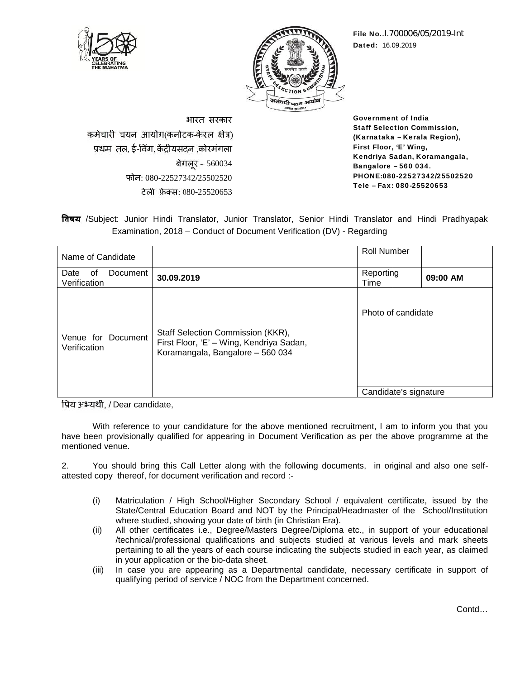



**File No.**.I.700006/05/2019-Int **Dated:** 16.09.2019 **No.Dated:**

भारत सरकार भारत कर्मचारी चयन आयोग(कर्नाटक-केरल क्षेत्र) , ई-विंग, केंद्रीयसंदन ,कोरमंगला बेगलूर – 560034 फोन: 080-22527342/25502520 टेली फ़ेक्स: 080-25520653

**Government of India Staff Selection Commission, (Karnataka – Kerala Region), First Floor, 'E' Wing, Kendriya Sadan, Koramangala, Bangalore – 560 034. PHONE:080-22527342/25502520 Tele – Fax: 080-25520653** 080-25520653**Commission,Koramangala,034.**

/Subject: Junior Hindi Translator, Junior Translator, Senior Hindi Translator and Hindi Pradhyapak Examination, 2018 – Conduct of Document Verification (DV) - Regarding

|                                    |          | <b>विषय</b> /Subject: Junior Hindi Translator, Junior Translator, Senior Hindi Translator and Hindi Pradhyapak<br>Examination, 2018 – Conduct of Document Verification (DV) - Regarding                                                                                                                                                                                                     |                       |          |
|------------------------------------|----------|---------------------------------------------------------------------------------------------------------------------------------------------------------------------------------------------------------------------------------------------------------------------------------------------------------------------------------------------------------------------------------------------|-----------------------|----------|
|                                    |          |                                                                                                                                                                                                                                                                                                                                                                                             |                       |          |
| Name of Candidate                  |          |                                                                                                                                                                                                                                                                                                                                                                                             | <b>Roll Number</b>    |          |
| Date<br>of<br>Verification         | Document | 30.09.2019                                                                                                                                                                                                                                                                                                                                                                                  | Reporting<br>Time     | 09:00 AM |
| Venue for Document<br>Verification |          | Staff Selection Commission (KKR),<br>First Floor, 'E' - Wing, Kendriya Sadan,<br>Koramangala, Bangalore - 560 034                                                                                                                                                                                                                                                                           | Photo of candidate    |          |
|                                    |          |                                                                                                                                                                                                                                                                                                                                                                                             | Candidate's signature |          |
| प्रिय अभ्यर्थी, / Dear candidate,  |          |                                                                                                                                                                                                                                                                                                                                                                                             |                       |          |
| mentioned venue.<br>2.             |          | With reference to your candidature for the above mentioned recruitment, I am to inform you that you<br>have been provisionally qualified for appearing in Document Verification as per the above programme at the<br>You should bring this Call Letter along with the following documents, in original and also one self-<br>attested copy thereof, for document verification and record :- |                       |          |
|                                    |          |                                                                                                                                                                                                                                                                                                                                                                                             |                       |          |
|                                    |          |                                                                                                                                                                                                                                                                                                                                                                                             |                       |          |

- (i) Matriculation / High School/Higher Secondary School / equivalent certificate, issued by the State/Central Education Board and NOT by the Principal/Headmaster of the School/Institution where studied, showing your date of birth (in Christian Era).
- (ii) All other certificates i.e., Degree/Masters Degree/Diploma etc., in support of your educational /technical/professional qualifications and subjects studied at various levels and mark sheets pertaining to all the years of each course indicating the subjects studied in each year, as claimed in your application or the bio-data sheet. sionally qualified for appearing in Document Verification as per the above programme at the<br>
2.<br>
uld bring this Call Letter along with the following documents, in original and also one self-<br>
ereof, for document verificati
- (iii) In case you are appearing as a Departmental candidate, necessary certificate in support of qualifying period of service / NOC from the Department concerned.

Contd…